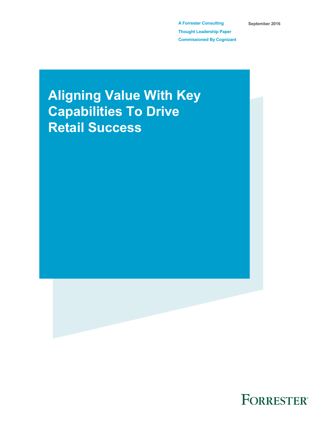**A Forrester Consulting Thought Leadership Paper Commissioned By Cognizant** **September 2016**

# **Aligning Value With Key Capabilities To Drive Retail Success**



FORRESTER®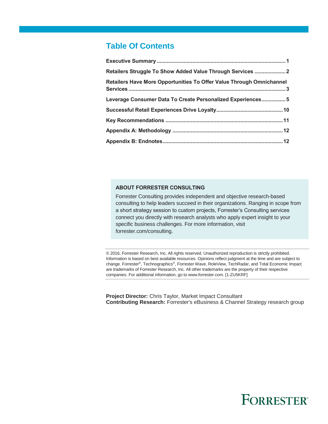# **Table Of Contents**

| Retailers Struggle To Show Added Value Through Services  2                  |  |
|-----------------------------------------------------------------------------|--|
| <b>Retailers Have More Opportunities To Offer Value Through Omnichannel</b> |  |
| Leverage Consumer Data To Create Personalized Experiences 5                 |  |
|                                                                             |  |
|                                                                             |  |
|                                                                             |  |
|                                                                             |  |
|                                                                             |  |

### **ABOUT FORRESTER CONSULTING**

Forrester Consulting provides independent and objective research-based consulting to help leaders succeed in their organizations. Ranging in scope from a short strategy session to custom projects, Forrester's Consulting services connect you directly with research analysts who apply expert insight to your specific business challenges. For more information, visit forrester.com/consulting.

© 2016, Forrester Research, Inc. All rights reserved. Unauthorized reproduction is strictly prohibited. Information is based on best available resources. Opinions reflect judgment at the time and are subject to change. Forrester®, Technographics®, Forrester Wave, RoleView, TechRadar, and Total Economic Impact are trademarks of Forrester Research, Inc. All other trademarks are the property of their respective companies. For additional information, go to www.forrester.com. [1-ZU5KRF]

**Project Director:** Chris Taylor, Market Impact Consultant **Contributing Research:** Forrester's eBusiness & Channel Strategy research group

# **FORRESTER®**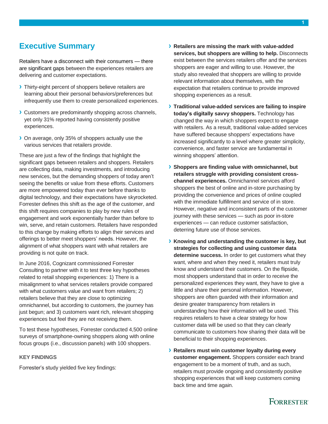# <span id="page-2-0"></span>**Executive Summary**

Retailers have a disconnect with their consumers — there are significant gaps between the experiences retailers are delivering and customer expectations.

- **›** Thirty-eight percent of shoppers believe retailers are learning about their personal behaviors/preferences but infrequently use them to create personalized experiences.
- **›** Customers are predominantly shopping across channels, yet only 31% reported having consistently positive experiences.
- **›** On average, only 35% of shoppers actually use the various services that retailers provide.

These are just a few of the findings that highlight the significant gaps between retailers and shoppers. Retailers are collecting data, making investments, and introducing new services, but the demanding shoppers of today aren't seeing the benefits or value from these efforts. Customers are more empowered today than ever before thanks to digital technology, and their expectations have skyrocketed. Forrester defines this shift as the age of the customer, and this shift requires companies to play by new rules of engagement and work exponentially harder than before to win, serve, and retain customers. Retailers have responded to this change by making efforts to align their services and offerings to better meet shoppers' needs. However, the alignment of what shoppers want with what retailers are providing is not quite on track.

In June 2016, Cognizant commissioned Forrester Consulting to partner with it to test three key hypotheses related to retail shopping experiences: 1) There is a misalignment to what services retailers provide compared with what customers value and want from retailers; 2) retailers believe that they are close to optimizing omnichannel, but according to customers, the journey has just begun; and 3) customers want rich, relevant shopping experiences but feel they are not receiving them.

To test these hypotheses, Forrester conducted 4,500 online surveys of smartphone-owning shoppers along with online focus groups (i.e., discussion panels) with 100 shoppers.

# **KEY FINDINGS**

Forrester's study yielded five key findings:

- **› Retailers are missing the mark with value-added services, but shoppers are willing to help.** Disconnects exist between the services retailers offer and the services shoppers are eager and willing to use. However, the study also revealed that shoppers are willing to provide relevant information about themselves, with the expectation that retailers continue to provide improved shopping experiences as a result.
- **› Traditional value-added services are failing to inspire today's digitally savvy shoppers.** Technology has changed the way in which shoppers expect to engage with retailers. As a result, traditional value-added services have suffered because shoppers' expectations have increased significantly to a level where greater simplicity, convenience, and faster service are fundamental in winning shoppers' attention.
- **› Shoppers are finding value with omnichannel, but retailers struggle with providing consistent crosschannel experiences.** Omnichannel services afford shoppers the best of online and in-store purchasing by providing the convenience and prices of online coupled with the immediate fulfillment and service of in store. However, negative and inconsistent parts of the customer journey with these services — such as poor in-store experiences — can reduce customer satisfaction, deterring future use of those services.
- **› Knowing and understanding the customer is key, but strategies for collecting and using customer data determine success.** In order to get customers what they want, where and when they need it, retailers must truly know and understand their customers. On the flipside, most shoppers understand that in order to receive the personalized experiences they want, they have to give a little and share their personal information. However, shoppers are often guarded with their information and desire greater transparency from retailers in understanding how their information will be used. This requires retailers to have a clear strategy for how customer data will be used so that they can clearly communicate to customers how sharing their data will be beneficial to their shopping experiences.
- **› Retailers must win customer loyalty during every customer engagement.** Shoppers consider each brand engagement to be a moment of truth, and as such, retailers must provide ongoing and consistently positive shopping experiences that will keep customers coming back time and time again.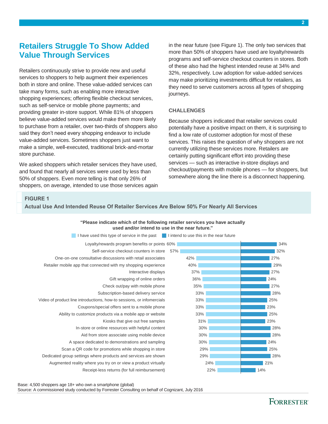# <span id="page-3-0"></span>**Retailers Struggle To Show Added Value Through Services**

Retailers continuously strive to provide new and useful services to shoppers to help augment their experiences both in store and online. These value-added services can take many forms, such as enabling more interactive shopping experiences; offering flexible checkout services, such as self-service or mobile phone payments; and providing greater in-store support. While 81% of shoppers believe value-added services would make them more likely to purchase from a retailer, over two-thirds of shoppers also said they don't need every shopping endeavor to include value-added services. Sometimes shoppers just want to make a simple, well-executed, traditional brick-and-mortar store purchase.

We asked shoppers which retailer services they have used, and found that nearly all services were used by less than 50% of shoppers. Even more telling is that only 26% of shoppers, on average, intended to use those services again in the near future (see Figure 1). The only two services that more than 50% of shoppers have used are loyalty/rewards programs and self-service checkout counters in stores. Both of these also had the highest intended reuse at 34% and 32%, respectively. Low adoption for value-added services may make prioritizing investments difficult for retailers, as they need to serve customers across all types of shopping journeys.

### **CHALLENGES**

Because shoppers indicated that retailer services could potentially have a positive impact on them, it is surprising to find a low rate of customer adoption for most of these services. This raises the question of why shoppers are not currently utilizing these services more. Retailers are certainly putting significant effort into providing these services — such as interactive in-store displays and checkout/payments with mobile phones — for shoppers, but somewhere along the line there is a disconnect happening.

## **FIGURE 1**

**Actual Use And Intended Reuse Of Retailer Services Are Below 50% For Nearly All Services**

# **"Please indicate which of the following retailer services you have actually used and/or intend to use in the near future."**



Base: 4,500 shoppers age 18+ who own a smartphone (global)

Source: A commissioned study conducted by Forrester Consulting on behalf of Cognizant, July 2016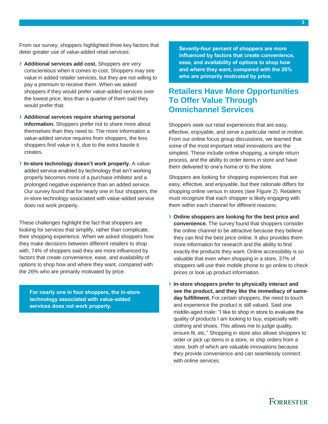From our survey, shoppers highlighted three key factors that deter greater use of value-added retail services:

- **› Additional services add cost.** Shoppers are very conscientious when it comes to cost. Shoppers may see value in added retailer services, but they are not willing to pay a premium to receive them. When we asked shoppers if they would prefer value-added services over the lowest price, less than a quarter of them said they would prefer that.
- **› Additional services require sharing personal information.** Shoppers prefer not to share more about themselves than they need to. The more information a value-added service requires from shoppers, the less shoppers find value in it, due to the extra hassle it creates.
- **› In-store technology doesn't work properly.** A valueadded service enabled by technology that isn't working properly becomes more of a purchase inhibitor and a prolonged negative experience than an added service. Our survey found that for nearly one in four shoppers, the in-store technology associated with value-added service does not work properly.

These challenges highlight the fact that shoppers are looking for services that simplify, rather than complicate, their shopping experience. When we asked shoppers how they make decisions between different retailers to shop with, 74% of shoppers said they are more influenced by factors that create convenience, ease, and availability of options to shop how and where they want, compared with the 26% who are primarily motivated by price.

**For nearly one in four shoppers, the in-store technology associated with value-added services does not work properly.**

**Seventy-four percent of shoppers are more influenced by factors that create convenience, ease, and availability of options to shop how and where they want, compared with the 26% who are primarily motivated by price.**

# <span id="page-4-0"></span>**Retailers Have More Opportunities To Offer Value Through Omnichannel Services**

Shoppers seek out retail experiences that are easy, effective, enjoyable, and serve a particular need or motive. From our online focus group discussions, we learned that some of the most important retail innovations are the simplest. These include online shopping, a simple return process, and the ability to order items in store and have them delivered to one's home or to the store.

Shoppers are looking for shopping experiences that are easy, effective, and enjoyable, but their rationale differs for shopping online versus in stores (see Figure 2). Retailers must recognize that each shopper is likely engaging with them within each channel for different reasons:

- **› Online shoppers are looking for the best price and convenience.** The survey found that shoppers consider the online channel to be attractive because they believe they can find the best price online. It also provides them more information for research and the ability to find exactly the products they want. Online accessibility is so valuable that even when shopping in a store, 37% of shoppers will use their mobile phone to go online to check prices or look up product information.
- **› In-store shoppers prefer to physically interact and see the product, and they like the immediacy of sameday fulfillment.** For certain shoppers, the need to touch and experience the product is still valued. Said one middle-aged male: "I like to shop in store to evaluate the quality of products I am looking to buy, especially with clothing and shoes. This allows me to judge quality, ensure fit, etc." Shopping in store also allows shoppers to order or pick up items in a store, or ship orders from a store, both of which are valuable innovations because they provide convenience and can seamlessly connect with online services.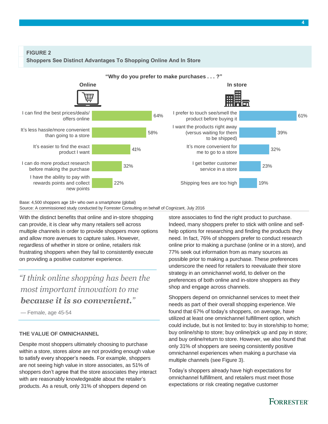**FIGURE 2** 





Base: 4,500 shoppers age 18+ who own a smartphone (global) Source: A commissioned study conducted by Forrester Consulting on behalf of Cognizant, July 2016

With the distinct benefits that online and in-store shopping can provide, it is clear why many retailers sell across multiple channels in order to provide shoppers more options and allow more avenues to capture sales. However, regardless of whether in store or online, retailers risk frustrating shoppers when they fail to consistently execute on providing a positive customer experience.

*"I think online shopping has been the most important innovation to me because it is so convenient."*

— Female, age 45-54

### **THE VALUE OF OMNICHANNEL**

Despite most shoppers ultimately choosing to purchase within a store, stores alone are not providing enough value to satisfy every shopper's needs. For example, shoppers are not seeing high value in store associates, as 51% of shoppers don't agree that the store associates they interact with are reasonably knowledgeable about the retailer's products. As a result, only 31% of shoppers depend on

store associates to find the right product to purchase. Indeed, many shoppers prefer to stick with online and selfhelp options for researching and finding the products they need. In fact, 76% of shoppers prefer to conduct research online prior to making a purchase (online or in a store), and 77% seek out information from as many sources as possible prior to making a purchase. These preferences underscore the need for retailers to reevaluate their store strategy in an omnichannel world, to deliver on the preferences of both online and in-store shoppers as they shop and engage across channels.

Shoppers depend on omnichannel services to meet their needs as part of their overall shopping experience. We found that 67% of today's shoppers, on average, have utilized at least one omnichannel fulfillment option, which could include, but is not limited to: buy in store/ship to home; buy online/ship to store; buy online/pick up and pay in store; and buy online/return to store. However, we also found that only 31% of shoppers are seeing consistently positive omnichannel experiences when making a purchase via multiple channels (see Figure 3).

Today's shoppers already have high expectations for omnichannel fulfillment, and retailers must meet those expectations or risk creating negative customer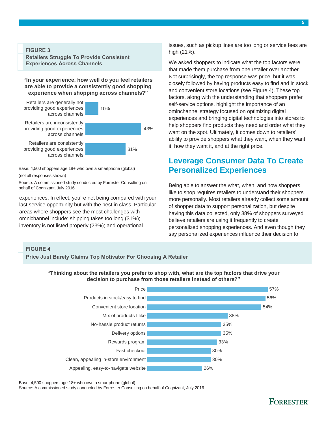## **FIGURE 3**

**Retailers Struggle To Provide Consistent Experiences Across Channels**

### **"In your experience, how well do you feel retailers are able to provide a consistently good shopping experience when shopping across channels?"**



Base: 4,500 shoppers age 18+ who own a smartphone (global) (not all responses shown)

Source: A commissioned study conducted by Forrester Consulting on behalf of Cognizant, July 2016

experiences. In effect, you're not being compared with your last service opportunity but with the best in class. Particular areas where shoppers see the most challenges with omnichannel include: shipping takes too long (31%); inventory is not listed properly (23%); and operational

issues, such as pickup lines are too long or service fees are high (21%).

We asked shoppers to indicate what the top factors were that made them purchase from one retailer over another. Not surprisingly, the top response was price, but it was closely followed by having products easy to find and in stock and convenient store locations (see Figure 4). These top factors, along with the understanding that shoppers prefer self-service options, highlight the importance of an ominchannel strategy focused on optimizing digital experiences and bringing digital technologies into stores to help shoppers find products they need and order what they want on the spot. Ultimately, it comes down to retailers' ability to provide shoppers what they want, when they want it, how they want it, and at the right price.

# <span id="page-6-0"></span>**Leverage Consumer Data To Create Personalized Experiences**

Being able to answer the what, when, and how shoppers like to shop requires retailers to understand their shoppers more personally. Most retailers already collect some amount of shopper data to support personalization, but despite having this data collected, only 38% of shoppers surveyed believe retailers are using it frequently to create personalized shopping experiences. And even though they say personalized experiences influence their decision to

# **FIGURE 4**

**Price Just Barely Claims Top Motivator For Choosing A Retailer**

**decision to purchase from those retailers instead of others?"**



Base: 4,500 shoppers age 18+ who own a smartphone (global)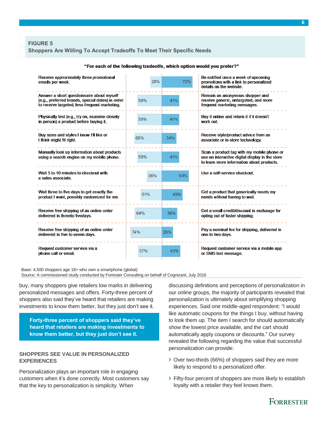## **FIGURE 5**

#### **Shoppers Are Willing To Accept Tradeoffs To Meet Their Specific Needs**

| Receive approximately three promotional<br>emails per week.                                                                                    | 28%        | 72% | Be notified once a week of upcoming<br>promotions with a link to personalized<br>details on the website                                    |  |
|------------------------------------------------------------------------------------------------------------------------------------------------|------------|-----|--------------------------------------------------------------------------------------------------------------------------------------------|--|
| Answer a short questionnaire about myself<br>(e.g., preferred brands, special dates) in order<br>to receive targeted, less frequent marketing. | 59%        | 41% | Remain an anonymous shopper and<br>receive generic, untargeted, and more<br>frequent marketing messages.                                   |  |
| Physically test (e.g., try on, examine closely<br>in person) a product before buying it.                                                       | 59%        | 41% | Buy it online and return it if it doesn't<br>work out                                                                                      |  |
| Buy sizes and styles I know I'll like or<br>I think might fit right.                                                                           | 66%        | 34% | Receive style/product advice from an<br>associate or in-store technology.                                                                  |  |
| Manually look up information about products<br>using a search engine on my mobile phone.                                                       | 59%        | 41% | Scan a product tag with my mobile phone or<br>use an interactive digital display in the store<br>to learn more information about products. |  |
| Wait 5 to 10 minutes to checkout with<br>a sales associate                                                                                     | 36%        | 64% | Use a self-service checkout                                                                                                                |  |
| Wait three to five days to get exactly the<br>product I want, possibly customized for me.                                                      | 51%        | 49% | Get a product that generically meets my<br>needs without having to wait.                                                                   |  |
| Receive free shipping of an online order<br>delivered in threeto fivedays.                                                                     | 64%        | 36% | Get a small credit/discount in exchange for<br>opting out of faster shipping.                                                              |  |
| Receive free shipping of an online order<br>delivered in five to seven days.                                                                   | 74%<br>26% |     | Pay a nominal fee for shipping, delivered in<br>one to two days.                                                                           |  |
| Request customer service via a<br>phone call or email.                                                                                         | 57%        | 43% | Request customer service via a mobile app<br>or SMS text message.                                                                          |  |

#### "For each of the following tradeoffs, which option would you prefer?"

Base: 4,500 shoppers age 18+ who own a smartphone (global) Source: A commissioned study conducted by Forrester Consulting on behalf of Cognizant, July 2016

buy, many shoppers give retailers low marks in delivering personalized messages and offers. Forty-three percent of shoppers also said they've heard that retailers are making investments to know them better, but they just don't see it.

**Forty-three percent of shoppers said they've heard that retailers are making investments to know them better, but they just don't see it.**

### **SHOPPERS SEE VALUE IN PERSONALIZED EXPERIENCES**

Personalization plays an important role in engaging customers when it's done correctly. Most customers say that the key to personalization is simplicity. When

discussing definitions and perceptions of personalization in our online groups, the majority of participants revealed that personalization is ultimately about simplifying shopping experiences. Said one middle-aged respondent: "I would like automatic coupons for the things I buy, without having to look them up. The item I search for should automatically show the lowest price available, and the cart should automatically apply coupons or discounts." Our survey revealed the following regarding the value that successful personalization can provide:

- **›** Over two-thirds (66%) of shoppers said they are more likely to respond to a personalized offer.
- **›** Fifty-four percent of shoppers are more likely to establish loyalty with a retailer they feel knows them.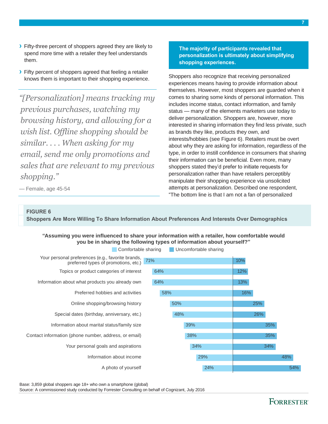- **›** Fifty-three percent of shoppers agreed they are likely to spend more time with a retailer they feel understands them.
- **›** Fifty percent of shoppers agreed that feeling a retailer knows them is important to their shopping experience.

*"[Personalization] means tracking my previous purchases, watching my browsing history, and allowing for a wish list. Offline shopping should be similar. . . . When asking for my email, send me only promotions and sales that are relevant to my previous shopping."*

**The majority of participants revealed that personalization is ultimately about simplifying shopping experiences.**

Shoppers also recognize that receiving personalized experiences means having to provide information about themselves. However, most shoppers are guarded when it comes to sharing some kinds of personal information. This includes income status, contact information, and family status — many of the elements marketers use today to deliver personalization. Shoppers are, however, more interested in sharing information they find less private, such as brands they like, products they own, and interests/hobbies (see Figure 6). Retailers must be overt about why they are asking for information, regardless of the type, in order to instill confidence in consumers that sharing their information can be beneficial. Even more, many shoppers stated they'd prefer to initiate requests for personalization rather than have retailers perceptibly manipulate their shopping experience via unsolicited attempts at personalization. Described one respondent, "The bottom line is that I am not a fan of personalized

— Female, age 45-54

# **FIGURE 6**

**Shoppers Are More Willing To Share Information About Preferences And Interests Over Demographics**

### **"Assuming you were influenced to share your information with a retailer, how comfortable would you be in sharing the following types of information about yourself?"**



Base: 3,859 global shoppers age 18+ who own a smartphone (global)

Source: A commissioned study conducted by Forrester Consulting on behalf of Cognizant, July 2016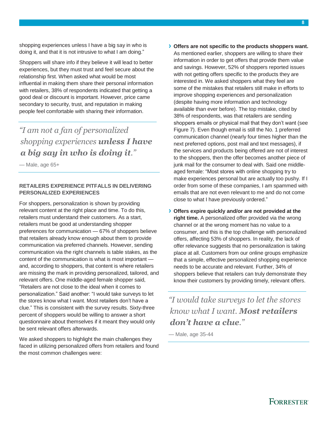shopping experiences unless I have a big say in who is doing it, and that it is not intrusive to what I am doing."

Shoppers will share info if they believe it will lead to better experiences, but they must trust and feel secure about the relationship first. When asked what would be most influential in making them share their personal information with retailers, 38% of respondents indicated that getting a good deal or discount is important. However, price came secondary to security, trust, and reputation in making people feel comfortable with sharing their information.

# *"I am not a fan of personalized shopping experiences unless I have a big say in who is doing it."*

— Male, age 65+

# **RETAILERS EXPERIENCE PITFALLS IN DELIVERING PERSONALIZED EXPERIENCES**

For shoppers, personalization is shown by providing relevant content at the right place and time. To do this, retailers must understand their customers. As a start, retailers must be good at understanding shopper preferences for communication — 67% of shoppers believe that retailers already know enough about them to provide communication via preferred channels. However, sending communication via the right channels is table stakes, as the content of the communication is what is most important and, according to shoppers, that content is where retailers are missing the mark in providing personalized, tailored, and relevant offers. One middle-aged female shopper said, "Retailers are not close to the ideal when it comes to personalization." Said another: "I would take surveys to let the stores know what I want. Most retailers don't have a clue." This is consistent with the survey results. Sixty-three percent of shoppers would be willing to answer a short questionnaire about themselves if it meant they would only be sent relevant offers afterwards.

We asked shoppers to highlight the main challenges they faced in utilizing personalized offers from retailers and found the most common challenges were:

As mentioned earlier, shoppers are willing to share their information in order to get offers that provide them value and savings. However, 52% of shoppers reported issues with not getting offers specific to the products they are interested in. We asked shoppers what they feel are some of the mistakes that retailers still make in efforts to improve shopping experiences and personalization (despite having more information and technology available than ever before). The top mistake, cited by 38% of respondents, was that retailers are sending shoppers emails or physical mail that they don't want (see Figure 7). Even though email is still the No. 1 preferred communication channel (nearly four times higher than the next preferred options, post mail and text messages), if the services and products being offered are not of interest to the shoppers, then the offer becomes another piece of junk mail for the consumer to deal with. Said one middleaged female: "Most stores with online shopping try to make experiences personal but are actually too pushy. If I order from some of these companies, I am spammed with emails that are not even relevant to me and do not come close to what I have previously ordered."

**› Offers expire quickly and/or are not provided at the right time.** A personalized offer provided via the wrong channel or at the wrong moment has no value to a consumer, and this is the top challenge with personalized offers, affecting 53% of shoppers. In reality, the lack of offer relevance suggests that no personalization is taking place at all. Customers from our online groups emphasize that a simple, effective personalized shopping experience needs to be accurate and relevant. Further, 34% of shoppers believe that retailers can truly demonstrate they know their customers by providing timely, relevant offers.

*"I would take surveys to let the stores know what I want. Most retailers don't have a clue."*

— Male, age 35-44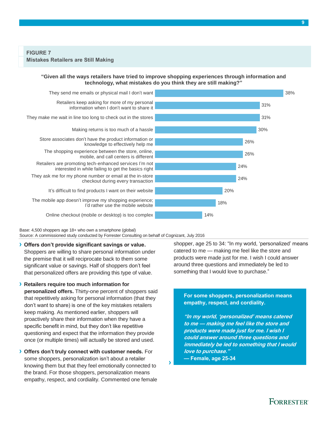### **"Given all the ways retailers have tried to improve shopping experiences through information and technology, what mistakes do you think they are still making?"**



Base: 4,500 shoppers age 18+ who own a smartphone (global)

Source: A commissioned study conducted by Forrester Consulting on behalf of Cognizant, July 2016

**› Offers don't provide significant savings or value.** 

Shoppers are willing to share personal information under the premise that it will reciprocate back to them some significant value or savings. Half of shoppers don't feel that personalized offers are providing this type of value.

**› Retailers require too much information for personalized offers.** Thirty-one percent of shoppers said that repetitively asking for personal information (that they don't want to share) is one of the key mistakes retailers keep making. As mentioned earlier, shoppers will proactively share their information when they have a specific benefit in mind, but they don't like repetitive questioning and expect that the information they provide once (or multiple times) will actually be stored and used.

**› Offers don't truly connect with customer needs.** For some shoppers, personalization isn't about a retailer knowing them but that they feel emotionally connected to the brand. For those shoppers, personalization means empathy, respect, and cordiality. Commented one female shopper, age 25 to 34: "In my world, 'personalized' means catered to me — making me feel like the store and products were made just for me. I wish I could answer around three questions and immediately be led to something that I would love to purchase."

**For some shoppers, personalization means empathy, respect, and cordiality.**

**"In my world, 'personalized' means catered to me — making me feel like the store and products were made just for me. I wish I could answer around three questions and immediately be led to something that I would love to purchase."** 

**— Female, age 25-34**

**›**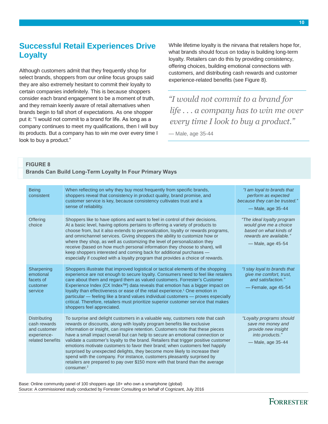# <span id="page-11-0"></span>**Successful Retail Experiences Drive Loyalty**

Although customers admit that they frequently shop for select brands, shoppers from our online focus groups said they are also extremely hesitant to commit their loyalty to certain companies indefinitely. This is because shoppers consider each brand engagement to be a moment of truth, and they remain keenly aware of retail alternatives when brands begin to fall short of expectations. As one shopper put it: "I would not commit to a brand for life. As long as a company continues to meet my qualifications, then I will buy its products. But a company has to win me over every time I look to buy a product."

While lifetime loyalty is the nirvana that retailers hope for, what brands should focus on today is building long-term loyalty. Retailers can do this by providing consistency, offering choices, building emotional connections with customers, and distributing cash rewards and customer experience-related benefits (see Figure 8).

*"I would not commit to a brand for life . . . a company has to win me over every time I look to buy a product."*

— Male, age 35-44

## **FIGURE 8**

# **Brands Can Build Long-Term Loyalty In Four Primary Ways**

| <b>Being</b><br>consistent                                                             | When reflecting on why they buy most frequently from specific brands,<br>shoppers reveal that consistency in product quality, brand promise, and<br>customer service is key, because consistency cultivates trust and a<br>sense of reliability.                                                                                                                                                                                                                                                                                                                                                                                                                                                                                                                            | "I am loyal to brands that<br>perform as expected<br>because they can be trusted."<br>- Male, age 35-44                        |
|----------------------------------------------------------------------------------------|-----------------------------------------------------------------------------------------------------------------------------------------------------------------------------------------------------------------------------------------------------------------------------------------------------------------------------------------------------------------------------------------------------------------------------------------------------------------------------------------------------------------------------------------------------------------------------------------------------------------------------------------------------------------------------------------------------------------------------------------------------------------------------|--------------------------------------------------------------------------------------------------------------------------------|
| Offering<br>choice                                                                     | Shoppers like to have options and want to feel in control of their decisions.<br>At a basic level, having options pertains to offering a variety of products to<br>choose from, but it also extends to personalization, loyalty or rewards programs,<br>and omnichannel services. Giving shoppers the ability to customize how or<br>where they shop, as well as customizing the level of personalization they<br>receive (based on how much personal information they choose to share), will<br>keep shoppers interested and coming back for additional purchases —<br>especially if coupled with a loyalty program that provides a choice of rewards.                                                                                                                     | "The ideal loyalty program<br>would give me a choice<br>based on what kinds of<br>rewards are available."<br>— Male, age 45-54 |
| Sharpening<br>emotional<br>facets of<br>customer<br>service                            | Shoppers illustrate that improved logistical or tactical elements of the shopping<br>experience are not enough to secure loyalty. Consumers need to feel like retailers<br>care about them and regard them as valued customers. Forrester's Customer<br>Experience Index ( $CX$ Index $^{TM}$ ) data reveals that emotion has a bigger impact on<br>loyalty than effectiveness or ease of the retail experience. <sup>1</sup> One emotion in<br>particular — feeling like a brand values individual customers — proves especially<br>critical. Therefore, retailers must prioritize superior customer service that makes<br>shoppers feel appreciated.                                                                                                                      | "I stay loyal to brands that<br>give me comfort, trust,<br>and satisfaction."<br>-Female, age 45-54                            |
| <b>Distributing</b><br>cash rewards<br>and customer<br>experience-<br>related benefits | To surprise and delight customers in a valuable way, customers note that cash<br>rewards or discounts, along with loyalty program benefits like exclusive<br>information or insight, can inspire retention. Customers note that these pieces<br>have a small impact overall but can help to secure an emotional connection or<br>validate a customer's loyalty to the brand. Retailers that trigger positive customer<br>emotions motivate customers to favor their brand; when customers feel happily<br>surprised by unexpected delights, they become more likely to increase their<br>spend with the company. For instance, customers pleasantly surprised by<br>retailers are prepared to pay over \$150 more with that brand than the average<br>consumer <sub>2</sub> | "Loyalty programs should<br>save me money and<br>provide new insight<br>into products."<br>- Male, age 35-44                   |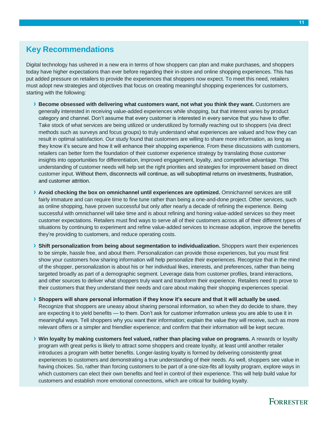# <span id="page-12-0"></span>**Key Recommendations**

Digital technology has ushered in a new era in terms of how shoppers can plan and make purchases, and shoppers today have higher expectations than ever before regarding their in-store and online shopping experiences. This has put added pressure on retailers to provide the experiences that shoppers now expect. To meet this need, retailers must adopt new strategies and objectives that focus on creating meaningful shopping experiences for customers, starting with the following:

- **› Become obsessed with delivering what customers want, not what you think they want.** Customers are generally interested in receiving value-added experiences while shopping, but that interest varies by product category and channel. Don't assume that every customer is interested in every service that you have to offer. Take stock of what services are being utilized or underutilized by formally reaching out to shoppers (via direct methods such as surveys and focus groups) to truly understand what experiences are valued and how they can result in optimal satisfaction. Our study found that customers are willing to share more information, as long as they know it's secure and how it will enhance their shopping experience. From these discussions with customers, retailers can better form the foundation of their customer experience strategy by translating those customer insights into opportunities for differentiation, improved engagement, loyalty, and competitive advantage. This understanding of customer needs will help set the right priorities and strategies for improvement based on direct customer input. Without them, disconnects will continue, as will suboptimal returns on investments, frustration, and customer attrition.
- **› Avoid checking the box on omnichannel until experiences are optimized.** Omnichannel services are still fairly immature and can require time to fine tune rather than being a one-and-done project. Other services, such as online shopping, have proven successful but only after nearly a decade of refining the experience. Being successful with omnichannel will take time and is about refining and honing value-added services so they meet customer expectations. Retailers must find ways to serve all of their customers across all of their different types of situations by continuing to experiment and refine value-added services to increase adoption, improve the benefits they're providing to customers, and reduce operating costs.
- **› Shift personalization from being about segmentation to individualization.** Shoppers want their experiences to be simple, hassle free, and about them. Personalization can provide those experiences, but you must first show your customers how sharing information will help personalize their experiences. Recognize that in the mind of the shopper, personalization is about his or her individual likes, interests, and preferences, rather than being targeted broadly as part of a demographic segment. Leverage data from customer profiles, brand interactions, and other sources to deliver what shoppers truly want and transform their experience. Retailers need to prove to their customers that they understand their needs and care about making their shopping experiences special.
- **› Shoppers will share personal information if they know it's secure and that it will actually be used.** Recognize that shoppers are uneasy about sharing personal information, so when they do decide to share, they are expecting it to yield benefits — to them. Don't ask for customer information unless you are able to use it in meaningful ways. Tell shoppers why you want their information; explain the value they will receive, such as more relevant offers or a simpler and friendlier experience; and confirm that their information will be kept secure.
- **› Win loyalty by making customers feel valued, rather than placing value on programs.** A rewards or loyalty program with great perks is likely to attract some shoppers and create loyalty, at least until another retailer introduces a program with better benefits. Longer-lasting loyalty is formed by delivering consistently great experiences to customers and demonstrating a true understanding of their needs. As well, shoppers see value in having choices. So, rather than forcing customers to be part of a one-size-fits all loyalty program, explore ways in which customers can elect their own benefits and feel in control of their experience. This will help build value for customers and establish more emotional connections, which are critical for building loyalty.